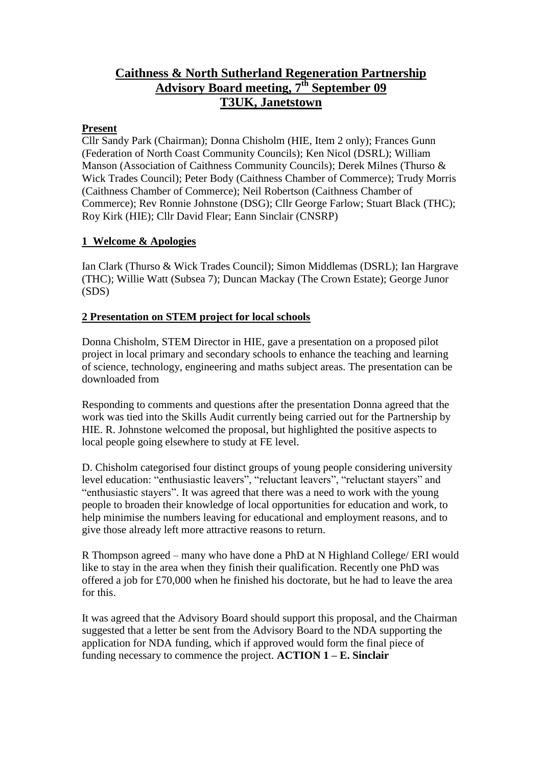# **Caithness & North Sutherland Regeneration Partnership Advisory Board meeting, 7 th September 09 T3UK, Janetstown**

#### **Present**

Cllr Sandy Park (Chairman); Donna Chisholm (HIE, Item 2 only); Frances Gunn (Federation of North Coast Community Councils); Ken Nicol (DSRL); William Manson (Association of Caithness Community Councils); Derek Milnes (Thurso & Wick Trades Council); Peter Body (Caithness Chamber of Commerce); Trudy Morris (Caithness Chamber of Commerce); Neil Robertson (Caithness Chamber of Commerce); Rev Ronnie Johnstone (DSG); Cllr George Farlow; Stuart Black (THC); Roy Kirk (HIE); Cllr David Flear; Eann Sinclair (CNSRP)

#### **1 Welcome & Apologies**

Ian Clark (Thurso & Wick Trades Council); Simon Middlemas (DSRL); Ian Hargrave (THC); Willie Watt (Subsea 7); Duncan Mackay (The Crown Estate); George Junor (SDS)

#### **2 Presentation on STEM project for local schools**

Donna Chisholm, STEM Director in HIE, gave a presentation on a proposed pilot project in local primary and secondary schools to enhance the teaching and learning of science, technology, engineering and maths subject areas. The presentation can be downloaded from

Responding to comments and questions after the presentation Donna agreed that the work was tied into the Skills Audit currently being carried out for the Partnership by HIE. R. Johnstone welcomed the proposal, but highlighted the positive aspects to local people going elsewhere to study at FE level.

D. Chisholm categorised four distinct groups of young people considering university level education: "enthusiastic leavers", "reluctant leavers", "reluctant stayers" and "enthusiastic stayers". It was agreed that there was a need to work with the young people to broaden their knowledge of local opportunities for education and work, to help minimise the numbers leaving for educational and employment reasons, and to give those already left more attractive reasons to return.

R Thompson agreed – many who have done a PhD at N Highland College/ ERI would like to stay in the area when they finish their qualification. Recently one PhD was offered a job for £70,000 when he finished his doctorate, but he had to leave the area for this.

It was agreed that the Advisory Board should support this proposal, and the Chairman suggested that a letter be sent from the Advisory Board to the NDA supporting the application for NDA funding, which if approved would form the final piece of funding necessary to commence the project. **ACTION 1 – E. Sinclair**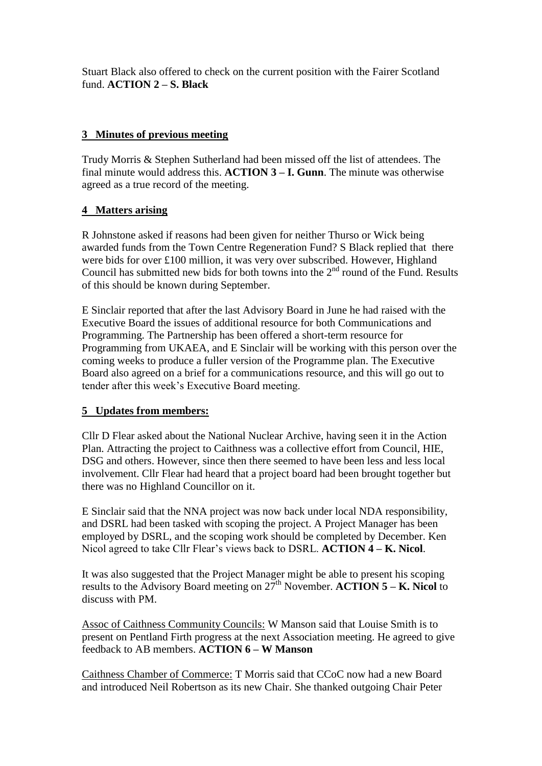Stuart Black also offered to check on the current position with the Fairer Scotland fund. **ACTION 2 – S. Black**

## **3 Minutes of previous meeting**

Trudy Morris & Stephen Sutherland had been missed off the list of attendees. The final minute would address this. **ACTION 3 – I. Gunn**. The minute was otherwise agreed as a true record of the meeting.

## **4 Matters arising**

R Johnstone asked if reasons had been given for neither Thurso or Wick being awarded funds from the Town Centre Regeneration Fund? S Black replied that there were bids for over £100 million, it was very over subscribed. However, Highland Council has submitted new bids for both towns into the  $2<sup>nd</sup>$  round of the Fund. Results of this should be known during September.

E Sinclair reported that after the last Advisory Board in June he had raised with the Executive Board the issues of additional resource for both Communications and Programming. The Partnership has been offered a short-term resource for Programming from UKAEA, and E Sinclair will be working with this person over the coming weeks to produce a fuller version of the Programme plan. The Executive Board also agreed on a brief for a communications resource, and this will go out to tender after this week's Executive Board meeting.

#### **5 Updates from members:**

Cllr D Flear asked about the National Nuclear Archive, having seen it in the Action Plan. Attracting the project to Caithness was a collective effort from Council, HIE, DSG and others. However, since then there seemed to have been less and less local involvement. Cllr Flear had heard that a project board had been brought together but there was no Highland Councillor on it.

E Sinclair said that the NNA project was now back under local NDA responsibility, and DSRL had been tasked with scoping the project. A Project Manager has been employed by DSRL, and the scoping work should be completed by December. Ken Nicol agreed to take Cllr Flear's views back to DSRL. **ACTION 4 – K. Nicol**.

It was also suggested that the Project Manager might be able to present his scoping results to the Advisory Board meeting on  $27<sup>th</sup>$  November. **ACTION**  $5 - K$ . Nicol to discuss with PM.

Assoc of Caithness Community Councils: W Manson said that Louise Smith is to present on Pentland Firth progress at the next Association meeting. He agreed to give feedback to AB members. **ACTION 6 – W Manson**

Caithness Chamber of Commerce: T Morris said that CCoC now had a new Board and introduced Neil Robertson as its new Chair. She thanked outgoing Chair Peter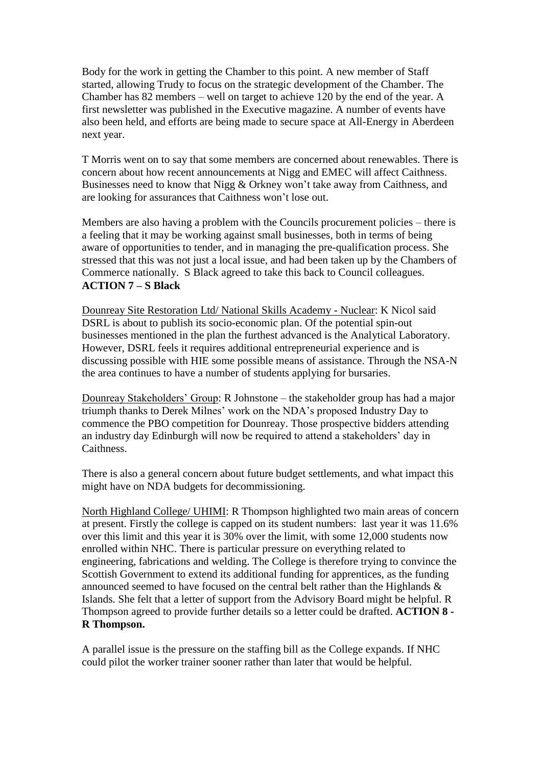Body for the work in getting the Chamber to this point. A new member of Staff started, allowing Trudy to focus on the strategic development of the Chamber. The Chamber has 82 members – well on target to achieve 120 by the end of the year. A first newsletter was published in the Executive magazine. A number of events have also been held, and efforts are being made to secure space at All-Energy in Aberdeen next year.

T Morris went on to say that some members are concerned about renewables. There is concern about how recent announcements at Nigg and EMEC will affect Caithness. Businesses need to know that Nigg & Orkney won't take away from Caithness, and are looking for assurances that Caithness won't lose out.

Members are also having a problem with the Councils procurement policies – there is a feeling that it may be working against small businesses, both in terms of being aware of opportunities to tender, and in managing the pre-qualification process. She stressed that this was not just a local issue, and had been taken up by the Chambers of Commerce nationally. S Black agreed to take this back to Council colleagues. **ACTION 7 – S Black**

Dounreay Site Restoration Ltd/ National Skills Academy - Nuclear: K Nicol said DSRL is about to publish its socio-economic plan. Of the potential spin-out businesses mentioned in the plan the furthest advanced is the Analytical Laboratory. However, DSRL feels it requires additional entrepreneurial experience and is discussing possible with HIE some possible means of assistance. Through the NSA-N the area continues to have a number of students applying for bursaries.

Dounreay Stakeholders' Group: R Johnstone – the stakeholder group has had a major triumph thanks to Derek Milnes' work on the NDA's proposed Industry Day to commence the PBO competition for Dounreay. Those prospective bidders attending an industry day Edinburgh will now be required to attend a stakeholders' day in Caithness.

There is also a general concern about future budget settlements, and what impact this might have on NDA budgets for decommissioning.

North Highland College/ UHIMI: R Thompson highlighted two main areas of concern at present. Firstly the college is capped on its student numbers: last year it was 11.6% over this limit and this year it is 30% over the limit, with some 12,000 students now enrolled within NHC. There is particular pressure on everything related to engineering, fabrications and welding. The College is therefore trying to convince the Scottish Government to extend its additional funding for apprentices, as the funding announced seemed to have focused on the central belt rather than the Highlands & Islands. She felt that a letter of support from the Advisory Board might be helpful. R Thompson agreed to provide further details so a letter could be drafted. **ACTION 8 - R Thompson.** 

A parallel issue is the pressure on the staffing bill as the College expands. If NHC could pilot the worker trainer sooner rather than later that would be helpful.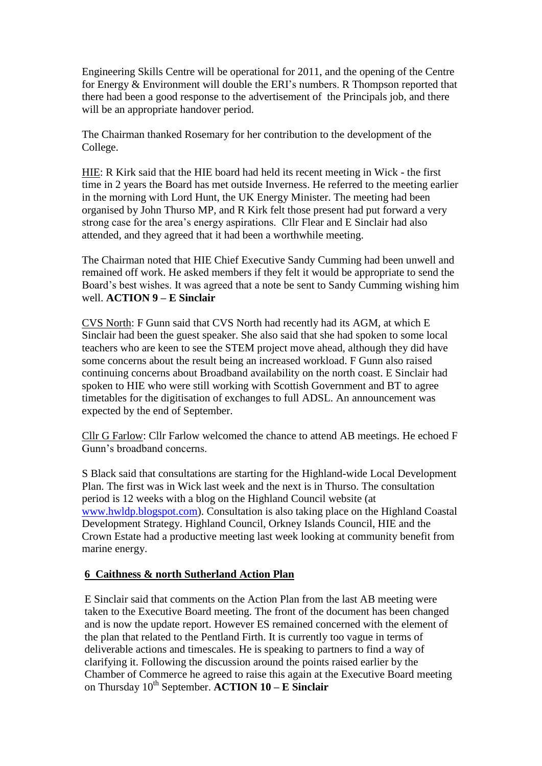Engineering Skills Centre will be operational for 2011, and the opening of the Centre for Energy & Environment will double the ERI's numbers. R Thompson reported that there had been a good response to the advertisement of the Principals job, and there will be an appropriate handover period.

The Chairman thanked Rosemary for her contribution to the development of the College.

HIE: R Kirk said that the HIE board had held its recent meeting in Wick - the first time in 2 years the Board has met outside Inverness. He referred to the meeting earlier in the morning with Lord Hunt, the UK Energy Minister. The meeting had been organised by John Thurso MP, and R Kirk felt those present had put forward a very strong case for the area's energy aspirations. Cllr Flear and E Sinclair had also attended, and they agreed that it had been a worthwhile meeting.

The Chairman noted that HIE Chief Executive Sandy Cumming had been unwell and remained off work. He asked members if they felt it would be appropriate to send the Board's best wishes. It was agreed that a note be sent to Sandy Cumming wishing him well. **ACTION 9 – E Sinclair**

CVS North: F Gunn said that CVS North had recently had its AGM, at which E Sinclair had been the guest speaker. She also said that she had spoken to some local teachers who are keen to see the STEM project move ahead, although they did have some concerns about the result being an increased workload. F Gunn also raised continuing concerns about Broadband availability on the north coast. E Sinclair had spoken to HIE who were still working with Scottish Government and BT to agree timetables for the digitisation of exchanges to full ADSL. An announcement was expected by the end of September.

Cllr G Farlow: Cllr Farlow welcomed the chance to attend AB meetings. He echoed F Gunn's broadband concerns.

S Black said that consultations are starting for the Highland-wide Local Development Plan. The first was in Wick last week and the next is in Thurso. The consultation period is 12 weeks with a blog on the Highland Council website (at [www.hwldp.blogspot.com\)](http://www.hwldp.blogspot.com/). Consultation is also taking place on the Highland Coastal Development Strategy. Highland Council, Orkney Islands Council, HIE and the Crown Estate had a productive meeting last week looking at community benefit from marine energy.

#### **6 Caithness & north Sutherland Action Plan**

E Sinclair said that comments on the Action Plan from the last AB meeting were taken to the Executive Board meeting. The front of the document has been changed and is now the update report. However ES remained concerned with the element of the plan that related to the Pentland Firth. It is currently too vague in terms of deliverable actions and timescales. He is speaking to partners to find a way of clarifying it. Following the discussion around the points raised earlier by the Chamber of Commerce he agreed to raise this again at the Executive Board meeting on Thursday  $10^{th}$  September. **ACTION 10 – E Sinclair**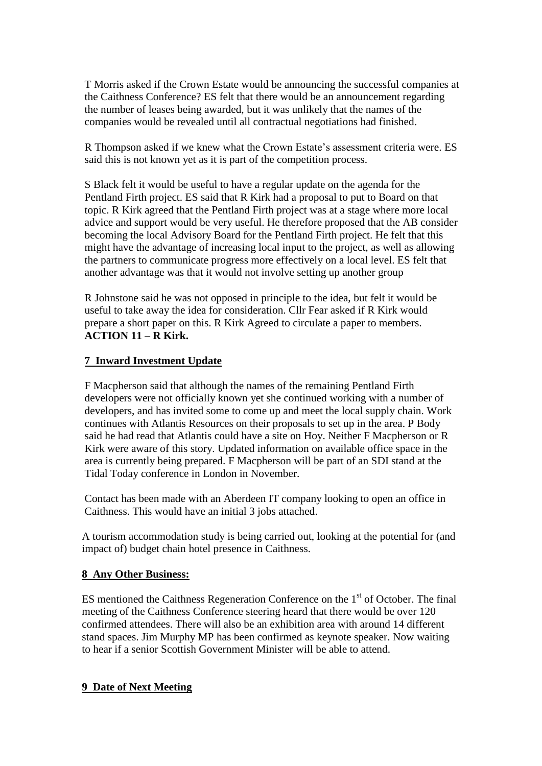T Morris asked if the Crown Estate would be announcing the successful companies at the Caithness Conference? ES felt that there would be an announcement regarding the number of leases being awarded, but it was unlikely that the names of the companies would be revealed until all contractual negotiations had finished.

R Thompson asked if we knew what the Crown Estate's assessment criteria were. ES said this is not known yet as it is part of the competition process.

S Black felt it would be useful to have a regular update on the agenda for the Pentland Firth project. ES said that R Kirk had a proposal to put to Board on that topic. R Kirk agreed that the Pentland Firth project was at a stage where more local advice and support would be very useful. He therefore proposed that the AB consider becoming the local Advisory Board for the Pentland Firth project. He felt that this might have the advantage of increasing local input to the project, as well as allowing the partners to communicate progress more effectively on a local level. ES felt that another advantage was that it would not involve setting up another group

R Johnstone said he was not opposed in principle to the idea, but felt it would be useful to take away the idea for consideration. Cllr Fear asked if R Kirk would prepare a short paper on this. R Kirk Agreed to circulate a paper to members. **ACTION 11 – R Kirk.**

#### **7 Inward Investment Update**

F Macpherson said that although the names of the remaining Pentland Firth developers were not officially known yet she continued working with a number of developers, and has invited some to come up and meet the local supply chain. Work continues with Atlantis Resources on their proposals to set up in the area. P Body said he had read that Atlantis could have a site on Hoy. Neither F Macpherson or R Kirk were aware of this story. Updated information on available office space in the area is currently being prepared. F Macpherson will be part of an SDI stand at the Tidal Today conference in London in November.

Contact has been made with an Aberdeen IT company looking to open an office in Caithness. This would have an initial 3 jobs attached.

A tourism accommodation study is being carried out, looking at the potential for (and impact of) budget chain hotel presence in Caithness.

# **8 Any Other Business:**

ES mentioned the Caithness Regeneration Conference on the  $1<sup>st</sup>$  of October. The final meeting of the Caithness Conference steering heard that there would be over 120 confirmed attendees. There will also be an exhibition area with around 14 different stand spaces. Jim Murphy MP has been confirmed as keynote speaker. Now waiting to hear if a senior Scottish Government Minister will be able to attend.

# **9 Date of Next Meeting**